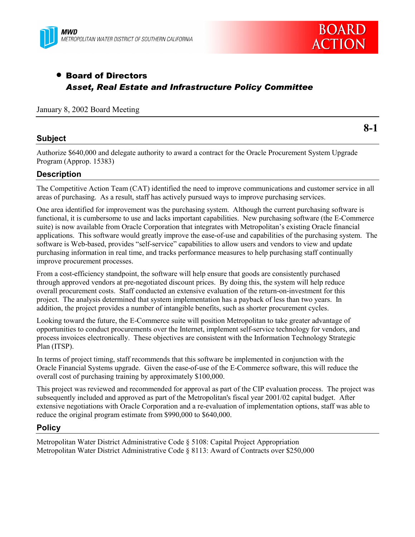



# • Board of Directors *Asset, Real Estate and Infrastructure Policy Committee*

### January 8, 2002 Board Meeting

## **Subject**

**8-1**

Authorize \$640,000 and delegate authority to award a contract for the Oracle Procurement System Upgrade Program (Approp. 15383)

## **Description**

The Competitive Action Team (CAT) identified the need to improve communications and customer service in all areas of purchasing. As a result, staff has actively pursued ways to improve purchasing services.

One area identified for improvement was the purchasing system. Although the current purchasing software is functional, it is cumbersome to use and lacks important capabilities. New purchasing software (the E-Commerce suite) is now available from Oracle Corporation that integrates with Metropolitan's existing Oracle financial applications. This software would greatly improve the ease-of-use and capabilities of the purchasing system. The software is Web-based, provides "self-service" capabilities to allow users and vendors to view and update purchasing information in real time, and tracks performance measures to help purchasing staff continually improve procurement processes.

From a cost-efficiency standpoint, the software will help ensure that goods are consistently purchased through approved vendors at pre-negotiated discount prices. By doing this, the system will help reduce overall procurement costs. Staff conducted an extensive evaluation of the return-on-investment for this project. The analysis determined that system implementation has a payback of less than two years. In addition, the project provides a number of intangible benefits, such as shorter procurement cycles.

Looking toward the future, the E-Commerce suite will position Metropolitan to take greater advantage of opportunities to conduct procurements over the Internet, implement self-service technology for vendors, and process invoices electronically. These objectives are consistent with the Information Technology Strategic Plan (ITSP).

In terms of project timing, staff recommends that this software be implemented in conjunction with the Oracle Financial Systems upgrade. Given the ease-of-use of the E-Commerce software, this will reduce the overall cost of purchasing training by approximately \$100,000.

This project was reviewed and recommended for approval as part of the CIP evaluation process. The project was subsequently included and approved as part of the Metropolitan's fiscal year 2001/02 capital budget. After extensive negotiations with Oracle Corporation and a re-evaluation of implementation options, staff was able to reduce the original program estimate from \$990,000 to \$640,000.

## **Policy**

Metropolitan Water District Administrative Code ß 5108: Capital Project Appropriation Metropolitan Water District Administrative Code ß 8113: Award of Contracts over \$250,000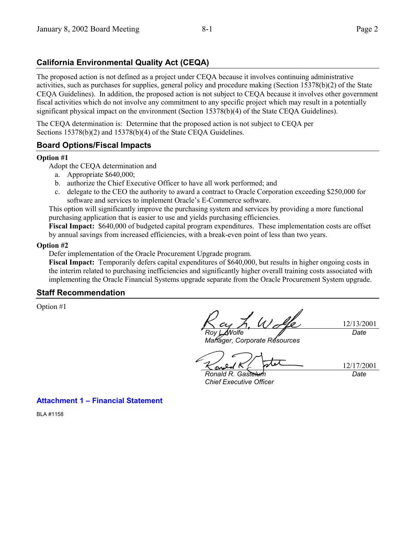# **California Environmental Quality Act (CEQA)**

The proposed action is not defined as a project under CEQA because it involves continuing administrative activities, such as purchases for supplies, general policy and procedure making (Section 15378(b)(2) of the State CEQA Guidelines). In addition, the proposed action is not subject to CEQA because it involves other government fiscal activities which do not involve any commitment to any specific project which may result in a potentially significant physical impact on the environment (Section 15378(b)(4) of the State CEQA Guidelines).

The CEQA determination is: Determine that the proposed action is not subject to CEQA per Sections 15378(b)(2) and 15378(b)(4) of the State CEQA Guidelines.

## **Board Options/Fiscal Impacts**

### **Option #1**

Adopt the CEQA determination and

- a. Appropriate \$640,000;
- b. authorize the Chief Executive Officer to have all work performed; and
- c. delegate to the CEO the authority to award a contract to Oracle Corporation exceeding \$250,000 for software and services to implement Oracle's E-Commerce software.

This option will significantly improve the purchasing system and services by providing a more functional purchasing application that is easier to use and yields purchasing efficiencies.

**Fiscal Impact:** \$640,000 of budgeted capital program expenditures. These implementation costs are offset by annual savings from increased efficiencies, with a break-even point of less than two years.

#### **Option #2**

Defer implementation of the Oracle Procurement Upgrade program.

**Fiscal Impact:** Temporarily defers capital expenditures of \$640,000, but results in higher ongoing costs in the interim related to purchasing inefficiencies and significantly higher overall training costs associated with implementing the Oracle Financial Systems upgrade separate from the Oracle Procurement System upgrade.

## **Staff Recommendation**

Option #1

*Roy L. Wolfe*

*Manager, Corporate Resources*

*Date*

12/13/2001

<u>and</u> *Ronald R. Gastelum*

12/17/2001 *Date*

*Chief Executive Officer*

**Attachment 1 - Financial Statement** 

BLA #1158